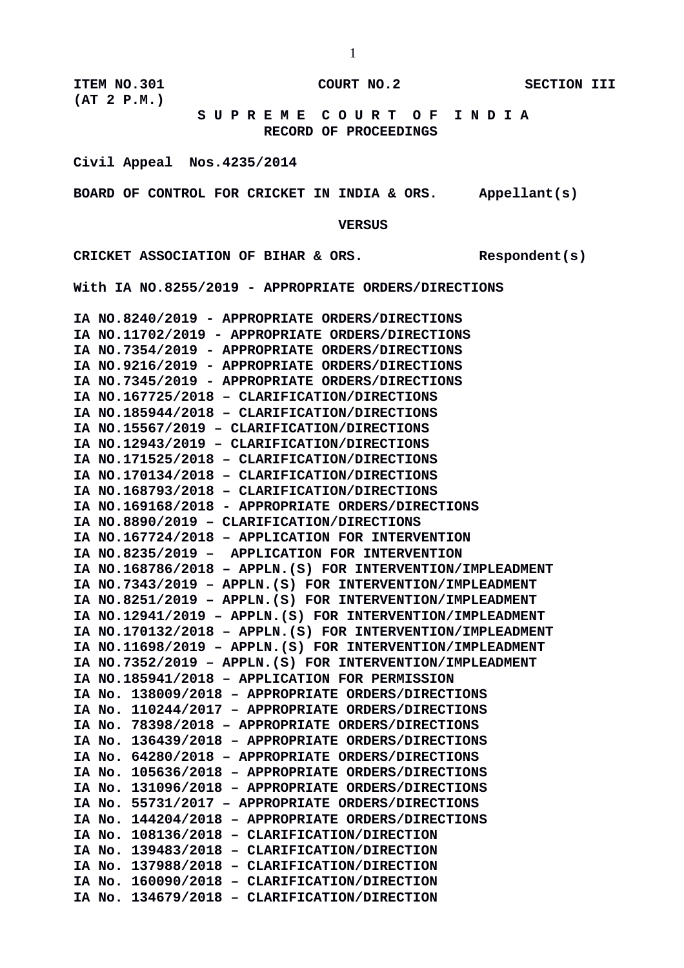**ITEM NO.301 COURT NO.2 SECTION III (AT 2 P.M.)**

 **S U P R E M E C O U R T O F I N D I A RECORD OF PROCEEDINGS**

**Civil Appeal Nos.4235/2014**

**BOARD OF CONTROL FOR CRICKET IN INDIA & ORS. Appellant(s)**

 **VERSUS**

**CRICKET ASSOCIATION OF BIHAR & ORS. Respondent(s)**

**With IA NO.8255/2019 - APPROPRIATE ORDERS/DIRECTIONS**

**IA NO.8240/2019 - APPROPRIATE ORDERS/DIRECTIONS IA NO.11702/2019 - APPROPRIATE ORDERS/DIRECTIONS IA NO.7354/2019 - APPROPRIATE ORDERS/DIRECTIONS IA NO.9216/2019 - APPROPRIATE ORDERS/DIRECTIONS IA NO.7345/2019 - APPROPRIATE ORDERS/DIRECTIONS IA NO.167725/2018 – CLARIFICATION/DIRECTIONS IA NO.185944/2018 – CLARIFICATION/DIRECTIONS IA NO.15567/2019 – CLARIFICATION/DIRECTIONS IA NO.12943/2019 – CLARIFICATION/DIRECTIONS IA NO.171525/2018 – CLARIFICATION/DIRECTIONS IA NO.170134/2018 – CLARIFICATION/DIRECTIONS IA NO.168793/2018 – CLARIFICATION/DIRECTIONS IA NO.169168/2018 - APPROPRIATE ORDERS/DIRECTIONS IA NO.8890/2019 – CLARIFICATION/DIRECTIONS IA NO.167724/2018 – APPLICATION FOR INTERVENTION IA NO.8235/2019 – APPLICATION FOR INTERVENTION IA NO.168786/2018 – APPLN.(S) FOR INTERVENTION/IMPLEADMENT IA NO.7343/2019 – APPLN.(S) FOR INTERVENTION/IMPLEADMENT IA NO.8251/2019 – APPLN.(S) FOR INTERVENTION/IMPLEADMENT IA NO.12941/2019 – APPLN.(S) FOR INTERVENTION/IMPLEADMENT IA NO.170132/2018 – APPLN.(S) FOR INTERVENTION/IMPLEADMENT IA NO.11698/2019 – APPLN.(S) FOR INTERVENTION/IMPLEADMENT IA NO.7352/2019 – APPLN.(S) FOR INTERVENTION/IMPLEADMENT IA NO.185941/2018 – APPLICATION FOR PERMISSION IA No. 138009/2018 – APPROPRIATE ORDERS/DIRECTIONS IA No. 110244/2017 – APPROPRIATE ORDERS/DIRECTIONS IA No. 78398/2018 – APPROPRIATE ORDERS/DIRECTIONS IA No. 136439/2018 – APPROPRIATE ORDERS/DIRECTIONS IA No. 64280/2018 – APPROPRIATE ORDERS/DIRECTIONS IA No. 105636/2018 – APPROPRIATE ORDERS/DIRECTIONS IA No. 131096/2018 – APPROPRIATE ORDERS/DIRECTIONS IA No. 55731/2017 – APPROPRIATE ORDERS/DIRECTIONS IA No. 144204/2018 – APPROPRIATE ORDERS/DIRECTIONS IA No. 108136/2018 – CLARIFICATION/DIRECTION IA No. 139483/2018 – CLARIFICATION/DIRECTION IA No. 137988/2018 – CLARIFICATION/DIRECTION IA No. 160090/2018 – CLARIFICATION/DIRECTION IA No. 134679/2018 – CLARIFICATION/DIRECTION**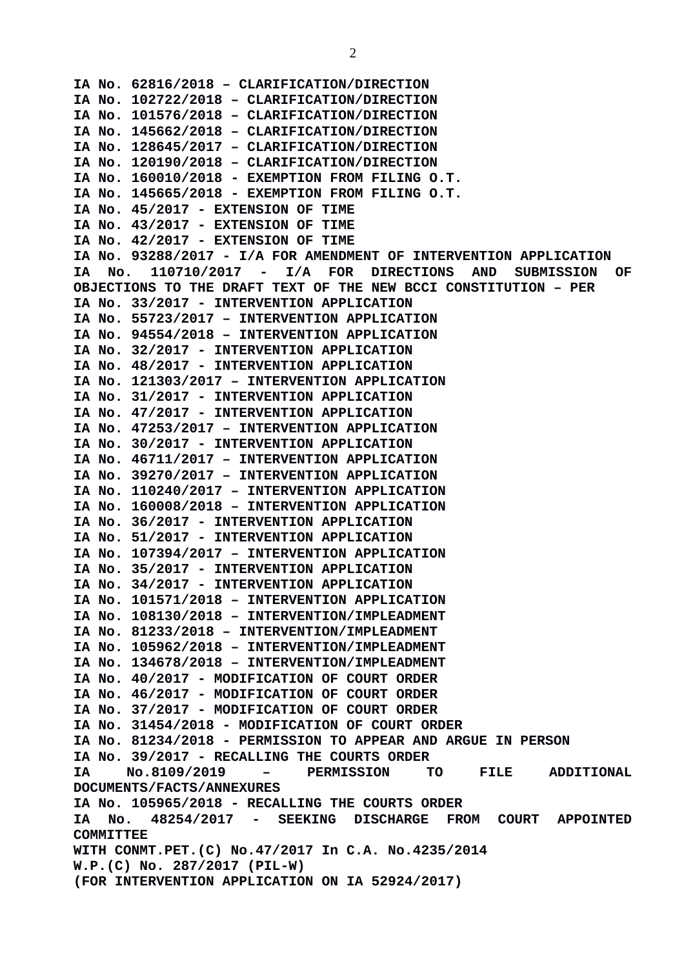**IA No. 62816/2018 – CLARIFICATION/DIRECTION IA No. 102722/2018 – CLARIFICATION/DIRECTION IA No. 101576/2018 – CLARIFICATION/DIRECTION IA No. 145662/2018 – CLARIFICATION/DIRECTION IA No. 128645/2017 – CLARIFICATION/DIRECTION IA No. 120190/2018 – CLARIFICATION/DIRECTION IA No. 160010/2018 - EXEMPTION FROM FILING O.T. IA No. 145665/2018 - EXEMPTION FROM FILING O.T. IA No. 45/2017 - EXTENSION OF TIME IA No. 43/2017 - EXTENSION OF TIME IA No. 42/2017 - EXTENSION OF TIME IA No. 93288/2017 - I/A FOR AMENDMENT OF INTERVENTION APPLICATION IA No. 110710/2017 - I/A FOR DIRECTIONS AND SUBMISSION OF OBJECTIONS TO THE DRAFT TEXT OF THE NEW BCCI CONSTITUTION – PER IA No. 33/2017 - INTERVENTION APPLICATION IA No. 55723/2017 – INTERVENTION APPLICATION IA No. 94554/2018 – INTERVENTION APPLICATION IA No. 32/2017 - INTERVENTION APPLICATION IA No. 48/2017 - INTERVENTION APPLICATION IA No. 121303/2017 – INTERVENTION APPLICATION IA No. 31/2017 - INTERVENTION APPLICATION IA No. 47/2017 - INTERVENTION APPLICATION IA No. 47253/2017 – INTERVENTION APPLICATION IA No. 30/2017 - INTERVENTION APPLICATION IA No. 46711/2017 – INTERVENTION APPLICATION IA No. 39270/2017 – INTERVENTION APPLICATION IA No. 110240/2017 – INTERVENTION APPLICATION IA No. 160008/2018 – INTERVENTION APPLICATION IA No. 36/2017 - INTERVENTION APPLICATION IA No. 51/2017 - INTERVENTION APPLICATION IA No. 107394/2017 – INTERVENTION APPLICATION IA No. 35/2017 - INTERVENTION APPLICATION IA No. 34/2017 - INTERVENTION APPLICATION IA No. 101571/2018 – INTERVENTION APPLICATION IA No. 108130/2018 – INTERVENTION/IMPLEADMENT IA No. 81233/2018 – INTERVENTION/IMPLEADMENT IA No. 105962/2018 – INTERVENTION/IMPLEADMENT IA No. 134678/2018 – INTERVENTION/IMPLEADMENT IA No. 40/2017 - MODIFICATION OF COURT ORDER IA No. 46/2017 - MODIFICATION OF COURT ORDER IA No. 37/2017 - MODIFICATION OF COURT ORDER IA No. 31454/2018 - MODIFICATION OF COURT ORDER IA No. 81234/2018 - PERMISSION TO APPEAR AND ARGUE IN PERSON IA No. 39/2017 - RECALLING THE COURTS ORDER IA No.8109/2019 – PERMISSION TO FILE ADDITIONAL DOCUMENTS/FACTS/ANNEXURES IA No. 105965/2018 - RECALLING THE COURTS ORDER IA No. 48254/2017 - SEEKING DISCHARGE FROM COURT APPOINTED COMMITTEE WITH CONMT.PET.(C) No.47/2017 In C.A. No.4235/2014 W.P.(C) No. 287/2017 (PIL-W) (FOR INTERVENTION APPLICATION ON IA 52924/2017)**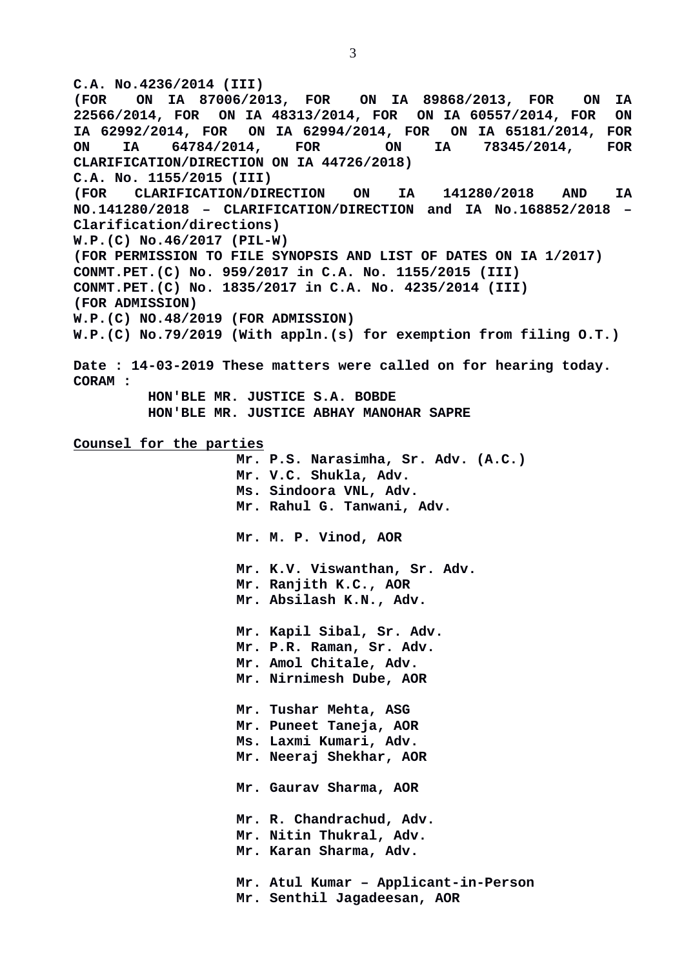**C.A. No.4236/2014 (III) (FOR ON IA 87006/2013, FOR ON IA 89868/2013, FOR ON IA 22566/2014, FOR ON IA 48313/2014, FOR ON IA 60557/2014, FOR ON IA 62992/2014, FOR ON IA 62994/2014, FOR ON IA 65181/2014, FOR ON IA 64784/2014, FOR ON IA 78345/2014, FOR CLARIFICATION/DIRECTION ON IA 44726/2018) C.A. No. 1155/2015 (III) (FOR CLARIFICATION/DIRECTION ON IA 141280/2018 AND IA NO.141280/2018 – CLARIFICATION/DIRECTION and IA No.168852/2018 – Clarification/directions) W.P.(C) No.46/2017 (PIL-W) (FOR PERMISSION TO FILE SYNOPSIS AND LIST OF DATES ON IA 1/2017) CONMT.PET.(C) No. 959/2017 in C.A. No. 1155/2015 (III) CONMT.PET.(C) No. 1835/2017 in C.A. No. 4235/2014 (III) (FOR ADMISSION) W.P.(C) NO.48/2019 (FOR ADMISSION) W.P.(C) No.79/2019 (With appln.(s) for exemption from filing O.T.) Date : 14-03-2019 These matters were called on for hearing today. CORAM : HON'BLE MR. JUSTICE S.A. BOBDE HON'BLE MR. JUSTICE ABHAY MANOHAR SAPRE Counsel for the parties Mr. P.S. Narasimha, Sr. Adv. (A.C.) Mr. V.C. Shukla, Adv. Ms. Sindoora VNL, Adv. Mr. Rahul G. Tanwani, Adv. Mr. M. P. Vinod, AOR Mr. K.V. Viswanthan, Sr. Adv. Mr. Ranjith K.C., AOR Mr. Absilash K.N., Adv. Mr. Kapil Sibal, Sr. Adv. Mr. P.R. Raman, Sr. Adv. Mr. Amol Chitale, Adv. Mr. Nirnimesh Dube, AOR Mr. Tushar Mehta, ASG Mr. Puneet Taneja, AOR Ms. Laxmi Kumari, Adv. Mr. Neeraj Shekhar, AOR Mr. Gaurav Sharma, AOR Mr. R. Chandrachud, Adv. Mr. Nitin Thukral, Adv. Mr. Karan Sharma, Adv. Mr. Atul Kumar – Applicant-in-Person Mr. Senthil Jagadeesan, AOR**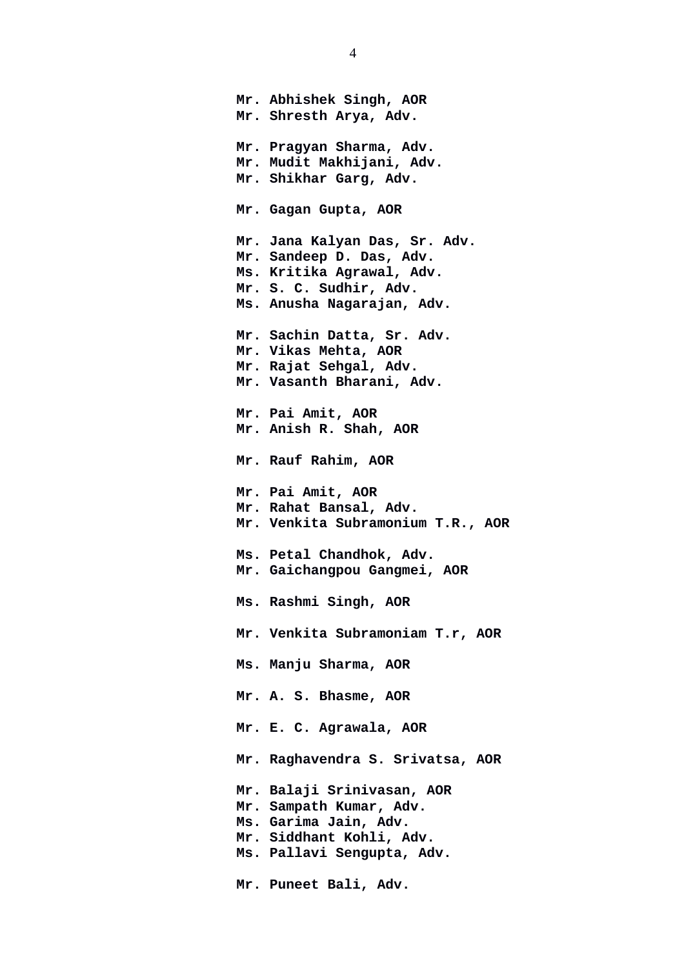**Mr. Abhishek Singh, AOR Mr. Shresth Arya, Adv. Mr. Pragyan Sharma, Adv. Mr. Mudit Makhijani, Adv. Mr. Shikhar Garg, Adv. Mr. Gagan Gupta, AOR Mr. Jana Kalyan Das, Sr. Adv. Mr. Sandeep D. Das, Adv. Ms. Kritika Agrawal, Adv. Mr. S. C. Sudhir, Adv. Ms. Anusha Nagarajan, Adv. Mr. Sachin Datta, Sr. Adv. Mr. Vikas Mehta, AOR Mr. Rajat Sehgal, Adv. Mr. Vasanth Bharani, Adv. Mr. Pai Amit, AOR Mr. Anish R. Shah, AOR Mr. Rauf Rahim, AOR Mr. Pai Amit, AOR Mr. Rahat Bansal, Adv. Mr. Venkita Subramonium T.R., AOR Ms. Petal Chandhok, Adv. Mr. Gaichangpou Gangmei, AOR Ms. Rashmi Singh, AOR Mr. Venkita Subramoniam T.r, AOR Ms. Manju Sharma, AOR Mr. A. S. Bhasme, AOR Mr. E. C. Agrawala, AOR Mr. Raghavendra S. Srivatsa, AOR Mr. Balaji Srinivasan, AOR Mr. Sampath Kumar, Adv. Ms. Garima Jain, Adv. Mr. Siddhant Kohli, Adv. Ms. Pallavi Sengupta, Adv. Mr. Puneet Bali, Adv.**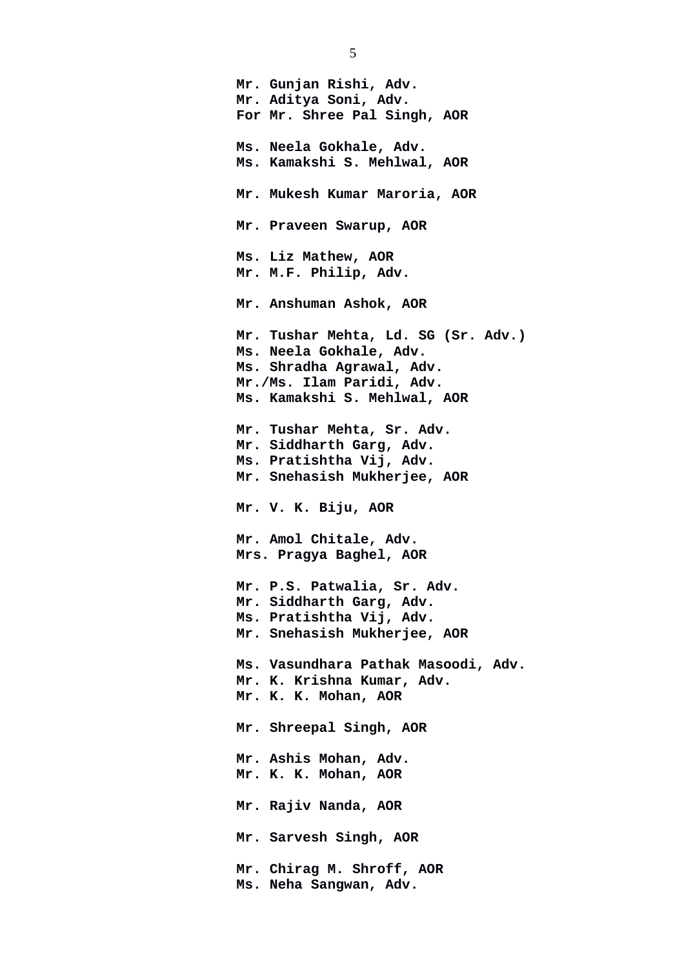**Mr. Gunjan Rishi, Adv. Mr. Aditya Soni, Adv. For Mr. Shree Pal Singh, AOR Ms. Neela Gokhale, Adv. Ms. Kamakshi S. Mehlwal, AOR Mr. Mukesh Kumar Maroria, AOR Mr. Praveen Swarup, AOR Ms. Liz Mathew, AOR Mr. M.F. Philip, Adv. Mr. Anshuman Ashok, AOR Mr. Tushar Mehta, Ld. SG (Sr. Adv.) Ms. Neela Gokhale, Adv. Ms. Shradha Agrawal, Adv. Mr./Ms. Ilam Paridi, Adv. Ms. Kamakshi S. Mehlwal, AOR Mr. Tushar Mehta, Sr. Adv. Mr. Siddharth Garg, Adv. Ms. Pratishtha Vij, Adv. Mr. Snehasish Mukherjee, AOR Mr. V. K. Biju, AOR Mr. Amol Chitale, Adv. Mrs. Pragya Baghel, AOR Mr. P.S. Patwalia, Sr. Adv. Mr. Siddharth Garg, Adv. Ms. Pratishtha Vij, Adv. Mr. Snehasish Mukherjee, AOR Ms. Vasundhara Pathak Masoodi, Adv. Mr. K. Krishna Kumar, Adv. Mr. K. K. Mohan, AOR Mr. Shreepal Singh, AOR Mr. Ashis Mohan, Adv. Mr. K. K. Mohan, AOR Mr. Rajiv Nanda, AOR Mr. Sarvesh Singh, AOR Mr. Chirag M. Shroff, AOR Ms. Neha Sangwan, Adv.** 

5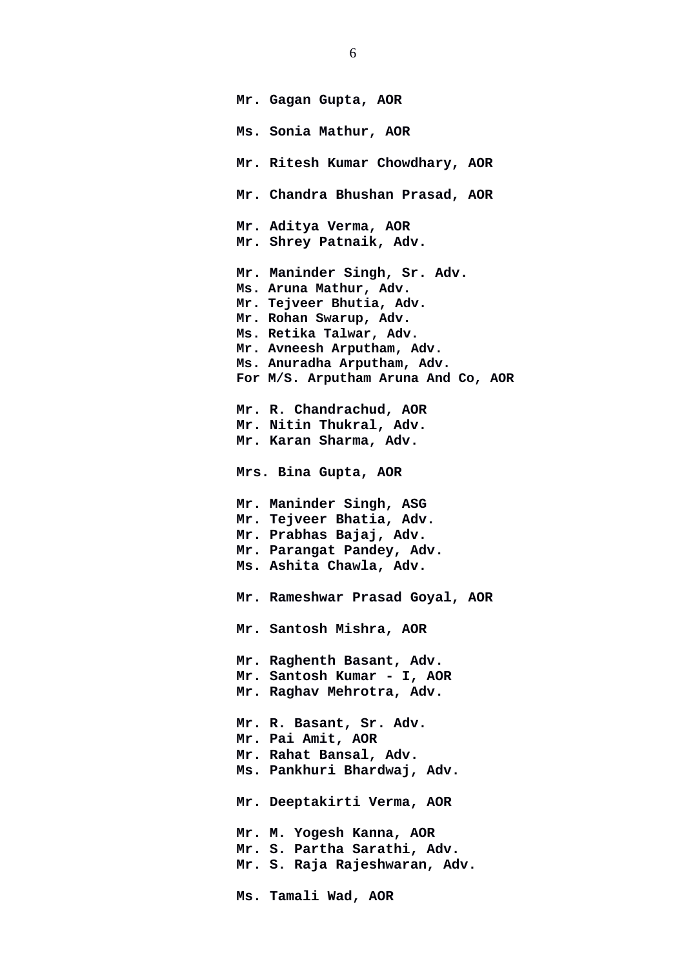**Mr. Gagan Gupta, AOR Ms. Sonia Mathur, AOR Mr. Ritesh Kumar Chowdhary, AOR Mr. Chandra Bhushan Prasad, AOR Mr. Aditya Verma, AOR Mr. Shrey Patnaik, Adv. Mr. Maninder Singh, Sr. Adv. Ms. Aruna Mathur, Adv. Mr. Tejveer Bhutia, Adv. Mr. Rohan Swarup, Adv. Ms. Retika Talwar, Adv. Mr. Avneesh Arputham, Adv. Ms. Anuradha Arputham, Adv. For M/S. Arputham Aruna And Co, AOR Mr. R. Chandrachud, AOR Mr. Nitin Thukral, Adv. Mr. Karan Sharma, Adv. Mrs. Bina Gupta, AOR Mr. Maninder Singh, ASG Mr. Tejveer Bhatia, Adv. Mr. Prabhas Bajaj, Adv. Mr. Parangat Pandey, Adv. Ms. Ashita Chawla, Adv. Mr. Rameshwar Prasad Goyal, AOR Mr. Santosh Mishra, AOR Mr. Raghenth Basant, Adv. Mr. Santosh Kumar - I, AOR Mr. Raghav Mehrotra, Adv. Mr. R. Basant, Sr. Adv. Mr. Pai Amit, AOR Mr. Rahat Bansal, Adv. Ms. Pankhuri Bhardwaj, Adv. Mr. Deeptakirti Verma, AOR Mr. M. Yogesh Kanna, AOR Mr. S. Partha Sarathi, Adv. Mr. S. Raja Rajeshwaran, Adv. Ms. Tamali Wad, AOR**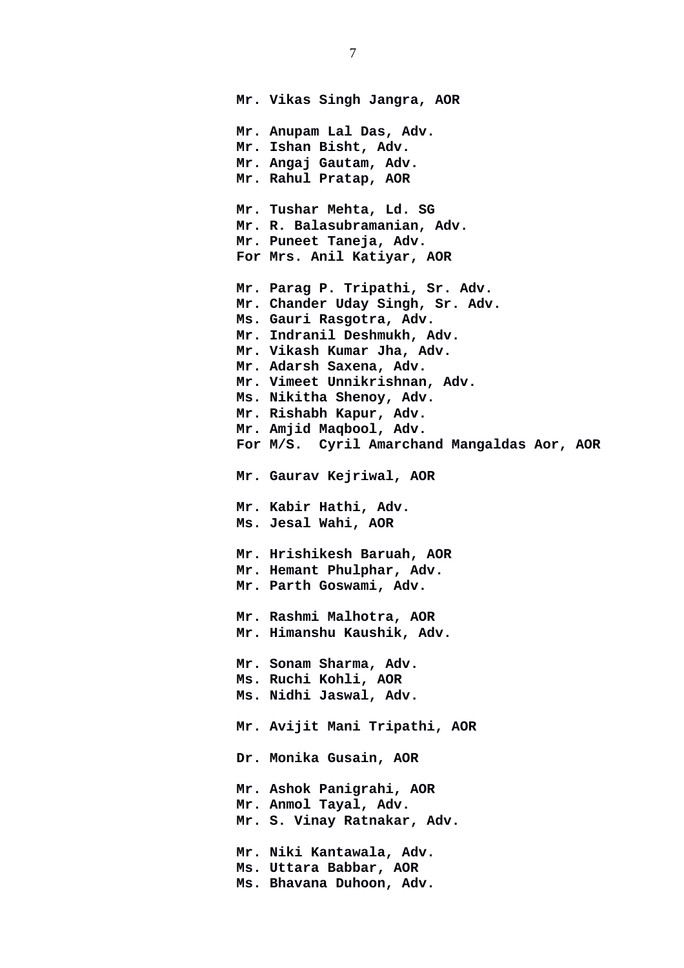**Mr. Vikas Singh Jangra, AOR Mr. Anupam Lal Das, Adv. Mr. Ishan Bisht, Adv. Mr. Angaj Gautam, Adv. Mr. Rahul Pratap, AOR Mr. Tushar Mehta, Ld. SG Mr. R. Balasubramanian, Adv. Mr. Puneet Taneja, Adv. For Mrs. Anil Katiyar, AOR Mr. Parag P. Tripathi, Sr. Adv. Mr. Chander Uday Singh, Sr. Adv. Ms. Gauri Rasgotra, Adv. Mr. Indranil Deshmukh, Adv. Mr. Vikash Kumar Jha, Adv. Mr. Adarsh Saxena, Adv. Mr. Vimeet Unnikrishnan, Adv. Ms. Nikitha Shenoy, Adv. Mr. Rishabh Kapur, Adv. Mr. Amjid Maqbool, Adv. For M/S. Cyril Amarchand Mangaldas Aor, AOR Mr. Gaurav Kejriwal, AOR Mr. Kabir Hathi, Adv. Ms. Jesal Wahi, AOR Mr. Hrishikesh Baruah, AOR Mr. Hemant Phulphar, Adv. Mr. Parth Goswami, Adv. Mr. Rashmi Malhotra, AOR Mr. Himanshu Kaushik, Adv. Mr. Sonam Sharma, Adv. Ms. Ruchi Kohli, AOR Ms. Nidhi Jaswal, Adv. Mr. Avijit Mani Tripathi, AOR Dr. Monika Gusain, AOR Mr. Ashok Panigrahi, AOR Mr. Anmol Tayal, Adv. Mr. S. Vinay Ratnakar, Adv. Mr. Niki Kantawala, Adv. Ms. Uttara Babbar, AOR Ms. Bhavana Duhoon, Adv.**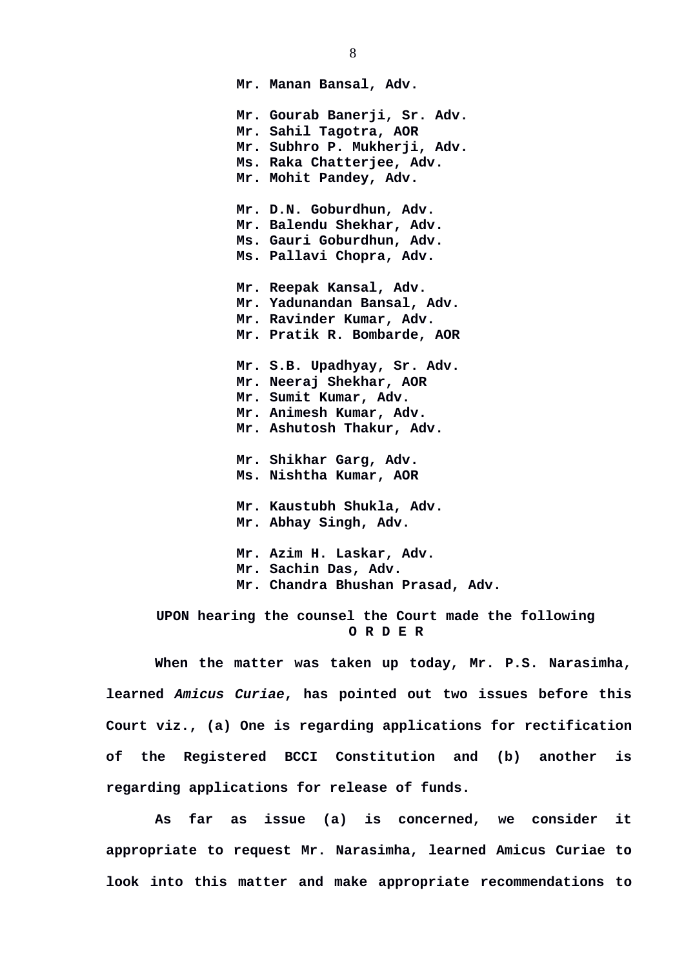**Mr. Manan Bansal, Adv. Mr. Gourab Banerji, Sr. Adv. Mr. Sahil Tagotra, AOR Mr. Subhro P. Mukherji, Adv. Ms. Raka Chatterjee, Adv. Mr. Mohit Pandey, Adv. Mr. D.N. Goburdhun, Adv. Mr. Balendu Shekhar, Adv. Ms. Gauri Goburdhun, Adv. Ms. Pallavi Chopra, Adv. Mr. Reepak Kansal, Adv. Mr. Yadunandan Bansal, Adv. Mr. Ravinder Kumar, Adv. Mr. Pratik R. Bombarde, AOR Mr. S.B. Upadhyay, Sr. Adv. Mr. Neeraj Shekhar, AOR Mr. Sumit Kumar, Adv. Mr. Animesh Kumar, Adv. Mr. Ashutosh Thakur, Adv. Mr. Shikhar Garg, Adv. Ms. Nishtha Kumar, AOR Mr. Kaustubh Shukla, Adv. Mr. Abhay Singh, Adv. Mr. Azim H. Laskar, Adv. Mr. Sachin Das, Adv. Mr. Chandra Bhushan Prasad, Adv.** 

 **UPON hearing the counsel the Court made the following O R D E R**

**When the matter was taken up today, Mr. P.S. Narasimha, learned** *Amicus Curiae***, has pointed out two issues before this Court viz., (a) One is regarding applications for rectification of the Registered BCCI Constitution and (b) another is regarding applications for release of funds.** 

**As far as issue (a) is concerned, we consider it appropriate to request Mr. Narasimha, learned Amicus Curiae to look into this matter and make appropriate recommendations to**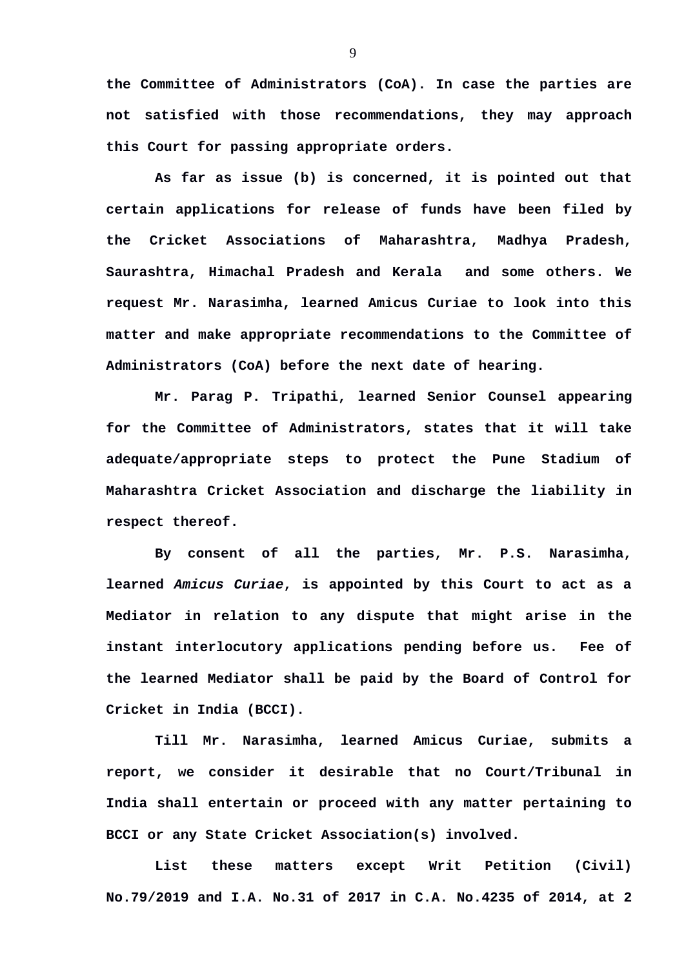**the Committee of Administrators (CoA). In case the parties are not satisfied with those recommendations, they may approach this Court for passing appropriate orders.** 

**As far as issue (b) is concerned, it is pointed out that certain applications for release of funds have been filed by the Cricket Associations of Maharashtra, Madhya Pradesh, Saurashtra, Himachal Pradesh and Kerala and some others. We request Mr. Narasimha, learned Amicus Curiae to look into this matter and make appropriate recommendations to the Committee of Administrators (CoA) before the next date of hearing.** 

**Mr. Parag P. Tripathi, learned Senior Counsel appearing for the Committee of Administrators, states that it will take adequate/appropriate steps to protect the Pune Stadium of Maharashtra Cricket Association and discharge the liability in respect thereof.** 

**By consent of all the parties, Mr. P.S. Narasimha, learned** *Amicus Curiae***, is appointed by this Court to act as a Mediator in relation to any dispute that might arise in the instant interlocutory applications pending before us. Fee of the learned Mediator shall be paid by the Board of Control for Cricket in India (BCCI).**

**Till Mr. Narasimha, learned Amicus Curiae, submits a report, we consider it desirable that no Court/Tribunal in India shall entertain or proceed with any matter pertaining to BCCI or any State Cricket Association(s) involved.** 

**List these matters except Writ Petition (Civil) No.79/2019 and I.A. No.31 of 2017 in C.A. No.4235 of 2014, at 2**

9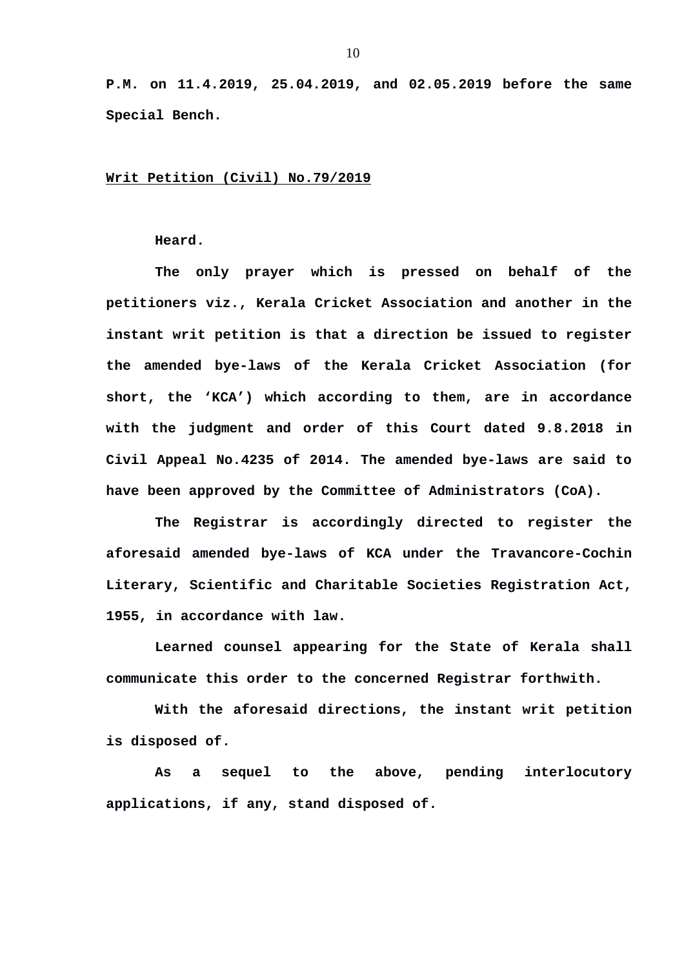**P.M. on 11.4.2019, 25.04.2019, and 02.05.2019 before the same Special Bench.** 

## **Writ Petition (Civil) No.79/2019**

## **Heard.**

**The only prayer which is pressed on behalf of the petitioners viz., Kerala Cricket Association and another in the instant writ petition is that a direction be issued to register the amended bye-laws of the Kerala Cricket Association (for short, the 'KCA') which according to them, are in accordance with the judgment and order of this Court dated 9.8.2018 in Civil Appeal No.4235 of 2014. The amended bye-laws are said to have been approved by the Committee of Administrators (CoA).** 

**The Registrar is accordingly directed to register the aforesaid amended bye-laws of KCA under the Travancore-Cochin Literary, Scientific and Charitable Societies Registration Act, 1955, in accordance with law.** 

**Learned counsel appearing for the State of Kerala shall communicate this order to the concerned Registrar forthwith.** 

**With the aforesaid directions, the instant writ petition is disposed of.** 

**As a sequel to the above, pending interlocutory applications, if any, stand disposed of.**